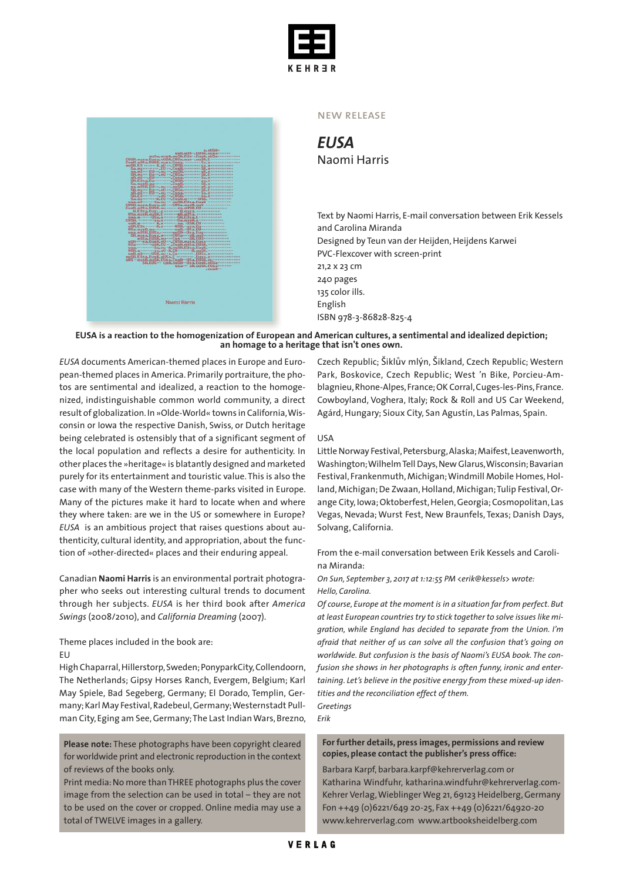



#### new release

*EUSA* Naomi Harris

Text by Naomi Harris, E-mail conversation between Erik Kessels and Carolina Miranda Designed by Teun van der Heijden, Heijdens Karwei PVC-Flexcover with screen-print 21,2 x 23 cm 240 pages 135 color ills. English ISBN 978-3-86828-825-4

#### EUSA is a reaction to the homogenization of European and American cultures, a sentimental and idealized depiction; **an homage to a heritage that isn't ones own.**

*EUSA* documents American-themed places in Europe and European-themed places in America. Primarily portraiture, the photos are sentimental and idealized, a reaction to the homogenized, indistinguishable common world community, a direct result of globalization.In »Olde-World« towns in California,Wisconsin or Iowa the respective Danish, Swiss, or Dutch heritage being celebrated is ostensibly that of a significant segment of the local population and reflects a desire for authenticity. In other places the »heritage« is blatantly designed and marketed purely for its entertainment and touristic value.This is also the case with many of the Western theme-parks visited in Europe. Many of the pictures make it hard to locate when and where they where taken: are we in the US or somewhere in Europe? *EUSA* is an ambitious project that raises questions about authenticity, cultural identity, and appropriation, about the function of »other-directed« places and their enduring appeal.

Canadian **Naomi Harris** is an environmental portrait photographer who seeks out interesting cultural trends to document through her subjects. *EUSA* is her third book after *America Swings* (2008/2010), and *California Dreaming* (2007).

Theme places included in the book are:

EU

High Chaparral, Hillerstorp, Sweden; PonyparkCity, Collendoorn, The Netherlands; Gipsy Horses Ranch, Evergem, Belgium; Karl May Spiele, Bad Segeberg, Germany; El Dorado, Templin, Germany; Karl May Festival, Radebeul, Germany; Westernstadt Pullman City, Eging am See, Germany; The Last Indian Wars, Brezno,

**Please note:** These photographs have been copyright cleared for worldwide print and electronic reproduction in the context of reviews of the books only.

Print media: No more than THREE photographs plus the cover image from the selection can be used in total – they are not to be used on the cover or cropped. Online media may use a total of TWELVE images in a gallery.

Czech Republic; Šiklův mlýn, Šikland, Czech Republic; Western Park, Boskovice, Czech Republic; West 'n Bike, Porcieu-Amblagnieu,Rhone-Alpes,France;OK Corral,Cuges-les-Pins,France. Cowboyland, Voghera, Italy; Rock & Roll and US Car Weekend, Agárd, Hungary; Sioux City, San Agustín, Las Palmas, Spain.

### USA

Little Norway Festival, Petersburg, Alaska; Maifest, Leavenworth, Washington;WilhelmTellDays,NewGlarus,Wisconsin;Bavarian Festival, Frankenmuth, Michigan; Windmill Mobile Homes, Holland, Michigan; De Zwaan, Holland, Michigan; Tulip Festival, Orange City, Iowa; Oktoberfest, Helen, Georgia; Cosmopolitan, Las Vegas, Nevada; Wurst Fest, New Braunfels, Texas; Danish Days, Solvang, California.

From the e-mail conversation between Erik Kessels and Carolina Miranda:

*On Sun, September 3, 2017 at 1:12:55 PM <erik@kessels> wrote: Hello, Carolina.*

*Of course, Europe at the moment is in a situation far from perfect. But at least European countries try to stick together to solve issueslike migration, while England has decided to separate from the Union. I'm afraid that neither of us can solve all the confusion that's going on worldwide. But confusion is the basis of Naomi's EUSA book. The confusion she shows in her photographs is often funny, ironic and entertaining. Let's believe in the positive energy from these mixed-up identities and the reconciliation effect of them.*

*Greetings Erik*

## **For further details, press images, permissions and review copies, please contact the publisher's press office:**

Barbara Karpf, barbara.karpf@kehrerverlag.com or Katharina Windfuhr, katharina.windfuhr@kehrerverlag.com-Kehrer Verlag,WieblingerWeg 21, 69123 Heidelberg,Germany Fon ++49 (0)6221/649 20-25, Fax ++49 (0)6221/64920-20 www.kehrerverlag.com www.artbooksheidelberg.com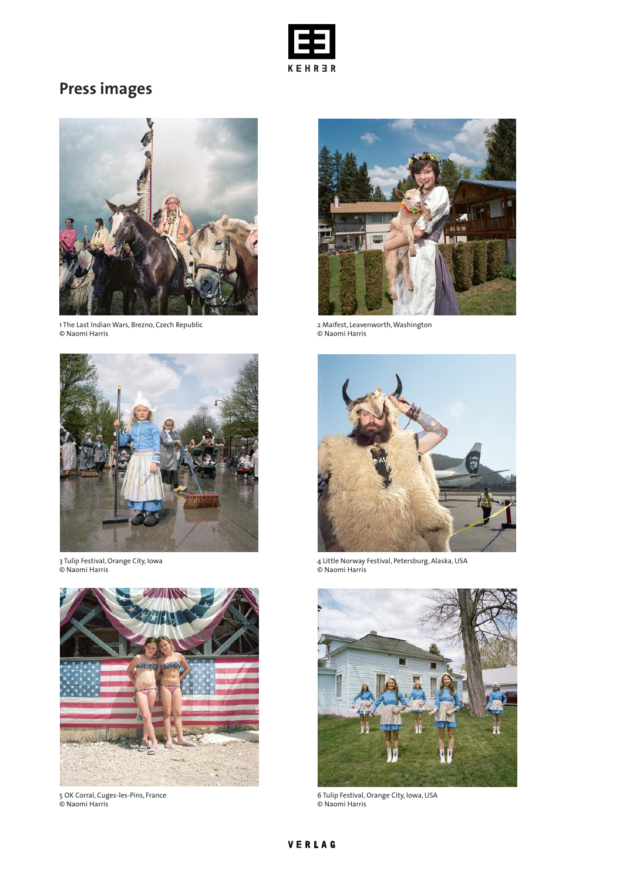

# **Press images**



1 The Last Indian Wars, Brezno, Czech Republic © Naomi Harris



3 Tulip Festival, Orange City, Iowa © Naomi Harris



5 OK Corral, Cuges-les-Pins, France © Naomi Harris



2 Maifest, Leavenworth,Washington © Naomi Harris



4 Little Norway Festival, Petersburg, Alaska, USA © Naomi Harris



6 Tulip Festival, Orange City, Iowa, USA © Naomi Harris

# VERLAG